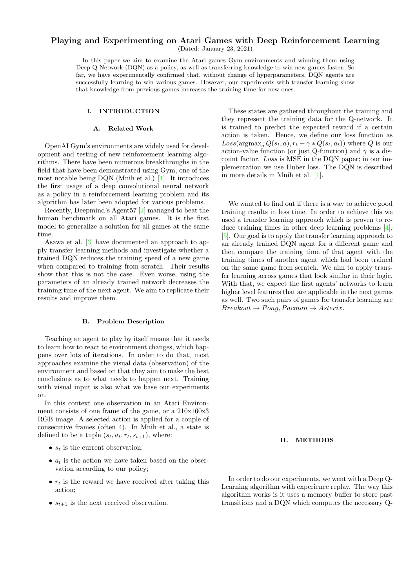# Playing and Experimenting on Atari Games with Deep Reinforcement Learning

(Dated: January 23, 2021)

In this paper we aim to examine the Atari games Gym environments and winning them using Deep Q-Network (DQN) as a policy, as well as transferring knowledge to win new games faster. So far, we have experimentally confirmed that, without change of hyperparameters, DQN agents are successfully learning to win various games. However, our experiments with transfer learning show that knowledge from previous games increases the training time for new ones.

## I. INTRODUCTION

#### A. Related Work

OpenAI Gym's environments are widely used for development and testing of new reinforcement learning algorithms. There have been numerous breakthroughs in the field that have been demonstrated using Gym, one of the most notable being DQN (Mnih et al.) [\[1\]](#page-2-0). It introduces the first usage of a deep convolutional neural network as a policy in a reinforcement learning problem and its algorithm has later been adopted for various problems.

Recently, Deepmind's Agent57 [\[2\]](#page-2-1) managed to beat the human benchmark on all Atari games. It is the first model to generalize a solution for all games at the same time.

Asawa et al. [\[3\]](#page-2-2) have documented an approach to apply transfer learning methods and investigate whether a trained DQN reduces the training speed of a new game when compared to training from scratch. Their results show that this is not the case. Even worse, using the parameters of an already trained network decreases the training time of the next agent. We aim to replicate their results and improve them.

#### B. Problem Description

Teaching an agent to play by itself means that it needs to learn how to react to environment changes, which happens over lots of iterations. In order to do that, most approaches examine the visual data (observation) of the environment and based on that they aim to make the best conclusions as to what needs to happen next. Training with visual input is also what we base our experiments on.

In this context one observation in an Atari Environment consists of one frame of the game, or a 210x160x3 RGB image. A selected action is applied for a couple of consecutive frames (often 4). In Mnih et al., a state is defined to be a tuple  $(s_t, a_t, r_t, s_{t+1})$ , where:

- $s_t$  is the current observation;
- $a_t$  is the action we have taken based on the observation according to our policy;
- $r_t$  is the reward we have received after taking this action;
- $s_{t+1}$  is the next received observation.

These states are gathered throughout the training and they represent the training data for the Q-network. It is trained to predict the expected reward if a certain action is taken. Hence, we define our loss function as  $Loss(\text{argmax}_{a} Q(s_t, a), r_t + \gamma * Q(s_t, a_t))$  where Q is our action-value function (or just Q-function) and  $\gamma$  is a discount factor. Loss is MSE in the DQN paper; in our implementation we use Huber loss. The DQN is described in more details in Mnih et al. [\[1\]](#page-2-0).

We wanted to find out if there is a way to achieve good training results in less time. In order to achieve this we used a transfer learning approach which is proven to reduce training times in other deep learning problems [\[4\]](#page-2-3), [\[5\]](#page-2-4). Our goal is to apply the transfer learning approach to an already trained DQN agent for a different game and then compare the training time of that agent with the training times of another agent which had been trained on the same game from scratch. We aim to apply transfer learning across games that look similar in their logic. With that, we expect the first agents' networks to learn higher level features that are applicable in the next games as well. Two such pairs of games for transfer learning are  $Breakout \rightarrow Pong, Pacman \rightarrow Asterix.$ 

# II. METHODS

In order to do our experiments, we went with a Deep Q-Learning algorithm with experience replay. The way this algorithm works is it uses a memory buffer to store past transitions and a DQN which computes the necessary Q-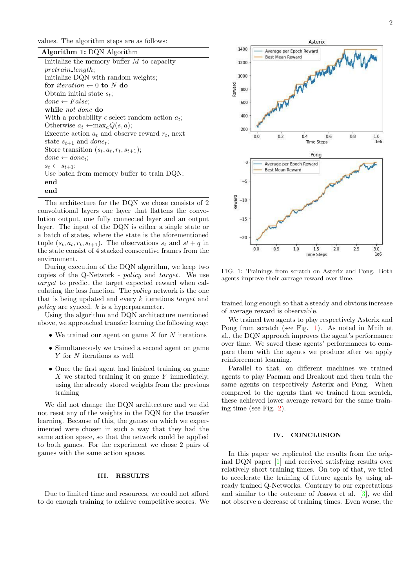values. The algorithm steps are as follows:

| Algorithm 1: DQN Algorithm                                 |
|------------------------------------------------------------|
| Initialize the memory buffer $M$ to capacity               |
| $pretrain_length;$                                         |
| Initialize DQN with random weights;                        |
| for <i>iteration</i> $\leftarrow$ 0 to N do                |
| Obtain initial state $s_t$ ;                               |
| $done \leftarrow False;$                                   |
| while not done do                                          |
| With a probability $\epsilon$ select random action $a_t$ ; |
| Otherwise $a_t \leftarrow \max_a Q(s, a);$                 |
| Execute action $a_t$ and observe reward $r_t$ , next       |
| state $s_{t+1}$ and <i>done<sub>t</sub></i> ;              |
| Store transition $(s_t, a_t, r_t, s_{t+1});$               |
| $done \leftarrow done \cdot$                               |
| $s_t \leftarrow s_{t+1};$                                  |
| Use batch from memory buffer to train DQN;                 |
| end                                                        |
| end                                                        |

The architecture for the DQN we chose consists of 2 convolutional layers one layer that flattens the convolution output, one fully connected layer and an output layer. The input of the DQN is either a single state or a batch of states, where the state is the aforementioned tuple  $(s_t, a_t, r_t, s_{t+1})$ . The observations  $s_t$  and  $st + q$  in the state consist of 4 stacked consecutive frames from the environment.

During execution of the DQN algorithm, we keep two copies of the Q-Network - policy and target. We use target to predict the target expected reward when calculating the loss function. The policy network is the one that is being updated and every k iterations target and policy are synced. k is a hyperparameter.

Using the algorithm and DQN architecture mentioned above, we approached transfer learning the following way:

- We trained our agent on game  $X$  for  $N$  iterations
- Simultaneously we trained a second agent on game Y for N iterations as well
- Once the first agent had finished training on game  $X$  we started training it on game  $Y$  immediately, using the already stored weights from the previous training

We did not change the DQN architecture and we did not reset any of the weights in the DQN for the transfer learning. Because of this, the games on which we experimented were chosen in such a way that they had the same action space, so that the network could be applied to both games. For the experiment we chose 2 pairs of games with the same action spaces.

### III. RESULTS

Due to limited time and resources, we could not afford to do enough training to achieve competitive scores. We



<span id="page-1-0"></span>FIG. 1: Trainings from scratch on Asterix and Pong. Both agents improve their average reward over time.

trained long enough so that a steady and obvious increase of average reward is observable.

We trained two agents to play respectively Asterix and Pong from scratch (see Fig. [1\)](#page-1-0). As noted in Mnih et al., the DQN approach improves the agent's performance over time. We saved these agents' performances to compare them with the agents we produce after we apply reinforcement learning.

Parallel to that, on different machines we trained agents to play Pacman and Breakout and then train the same agents on respectively Asterix and Pong. When compared to the agents that we trained from scratch, these achieved lower average reward for the same training time (see Fig. [2\)](#page-2-5).

#### IV. CONCLUSION

In this paper we replicated the results from the original DQN paper [\[1\]](#page-2-0) and received satisfying results over relatively short training times. On top of that, we tried to accelerate the training of future agents by using already trained Q-Networks. Contrary to our expectations and similar to the outcome of Asawa et al. [\[3\]](#page-2-2), we did not observe a decrease of training times. Even worse, the